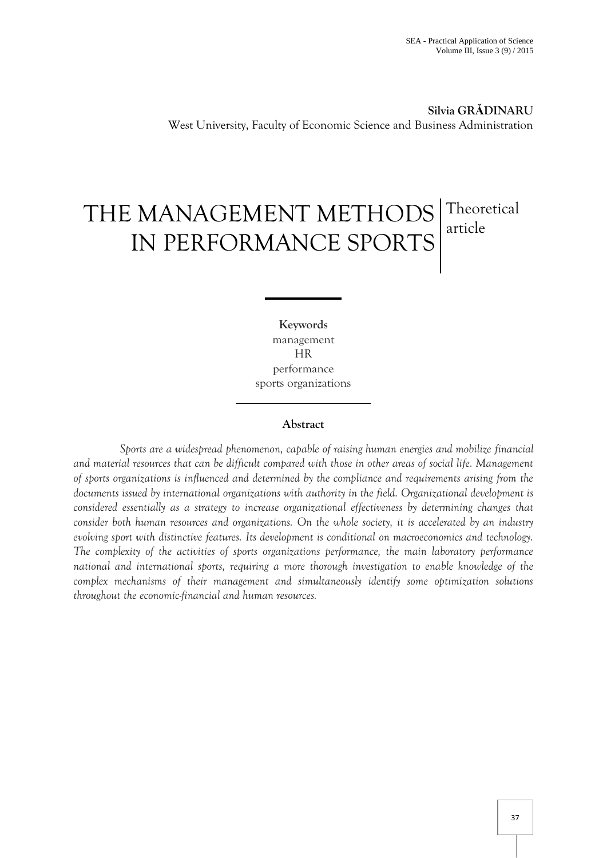**Silvia GRĂDINARU** West University, Faculty of Economic Science and Business Administration

# THE MANAGEMENT METHODS IN PERFORMANCE SPORTS **Theoretical** article

**Keywords** management HR performance sports organizations

### **Abstract**

*Sports are a widespread phenomenon, capable of raising human energies and mobilize financial and material resources that can be difficult compared with those in other areas of social life. Management of sports organizations is influenced and determined by the compliance and requirements arising from the documents issued by international organizations with authority in the field. Organizational development is considered essentially as a strategy to increase organizational effectiveness by determining changes that consider both human resources and organizations. On the whole society, it is accelerated by an industry evolving sport with distinctive features. Its development is conditional on macroeconomics and technology. The complexity of the activities of sports organizations performance, the main laboratory performance national and international sports, requiring a more thorough investigation to enable knowledge of the complex mechanisms of their management and simultaneously identify some optimization solutions throughout the economic-financial and human resources.*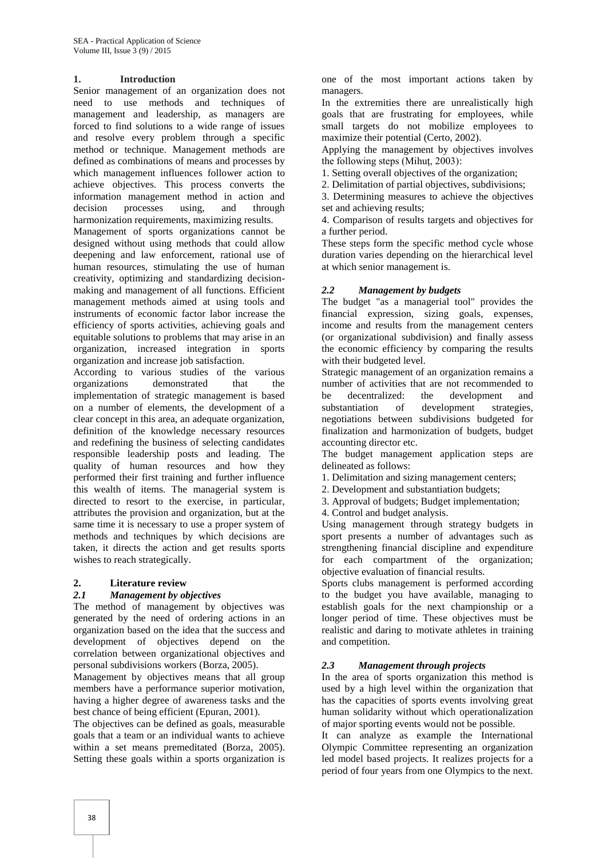### **1. Introduction**

Senior management of an organization does not need to use methods and techniques of management and leadership, as managers are forced to find solutions to a wide range of issues and resolve every problem through a specific method or technique. Management methods are defined as combinations of means and processes by which management influences follower action to achieve objectives. This process converts the information management method in action and decision processes using, and through harmonization requirements, maximizing results.

Management of sports organizations cannot be designed without using methods that could allow deepening and law enforcement, rational use of human resources, stimulating the use of human creativity, optimizing and standardizing decisionmaking and management of all functions. Efficient management methods aimed at using tools and instruments of economic factor labor increase the efficiency of sports activities, achieving goals and equitable solutions to problems that may arise in an organization, increased integration in sports organization and increase job satisfaction.

According to various studies of the various organizations demonstrated that the implementation of strategic management is based on a number of elements, the development of a clear concept in this area, an adequate organization, definition of the knowledge necessary resources and redefining the business of selecting candidates responsible leadership posts and leading. The quality of human resources and how they performed their first training and further influence this wealth of items. The managerial system is directed to resort to the exercise, in particular, attributes the provision and organization, but at the same time it is necessary to use a proper system of methods and techniques by which decisions are taken, it directs the action and get results sports wishes to reach strategically.

#### **2. Literature review**

# *2.1 Management by objectives*

The method of management by objectives was generated by the need of ordering actions in an organization based on the idea that the success and development of objectives depend on the correlation between organizational objectives and personal subdivisions workers (Borza, 2005).

Management by objectives means that all group members have a performance superior motivation, having a higher degree of awareness tasks and the best chance of being efficient (Epuran, 2001).

The objectives can be defined as goals, measurable goals that a team or an individual wants to achieve within a set means premeditated (Borza, 2005). Setting these goals within a sports organization is one of the most important actions taken by managers.

In the extremities there are unrealistically high goals that are frustrating for employees, while small targets do not mobilize employees to maximize their potential (Certo, 2002).

Applying the management by objectives involves the following steps (Mihuţ, 2003):

1. Setting overall objectives of the organization;

2. Delimitation of partial objectives, subdivisions;

3. Determining measures to achieve the objectives set and achieving results;

4. Comparison of results targets and objectives for a further period.

These steps form the specific method cycle whose duration varies depending on the hierarchical level at which senior management is.

## *2.2 Management by budgets*

The budget "as a managerial tool" provides the financial expression, sizing goals, expenses, income and results from the management centers (or organizational subdivision) and finally assess the economic efficiency by comparing the results with their budgeted level.

Strategic management of an organization remains a number of activities that are not recommended to be decentralized: the development and substantiation of development strategies, negotiations between subdivisions budgeted for finalization and harmonization of budgets, budget accounting director etc.

The budget management application steps are delineated as follows:

1. Delimitation and sizing management centers;

2. Development and substantiation budgets;

3. Approval of budgets; Budget implementation;

4. Control and budget analysis.

Using management through strategy budgets in sport presents a number of advantages such as strengthening financial discipline and expenditure for each compartment of the organization; objective evaluation of financial results.

Sports clubs management is performed according to the budget you have available, managing to establish goals for the next championship or a longer period of time. These objectives must be realistic and daring to motivate athletes in training and competition.

# *2.3 Management through projects*

In the area of sports organization this method is used by a high level within the organization that has the capacities of sports events involving great human solidarity without which operationalization of major sporting events would not be possible.

It can analyze as example the International Olympic Committee representing an organization led model based projects. It realizes projects for a period of four years from one Olympics to the next.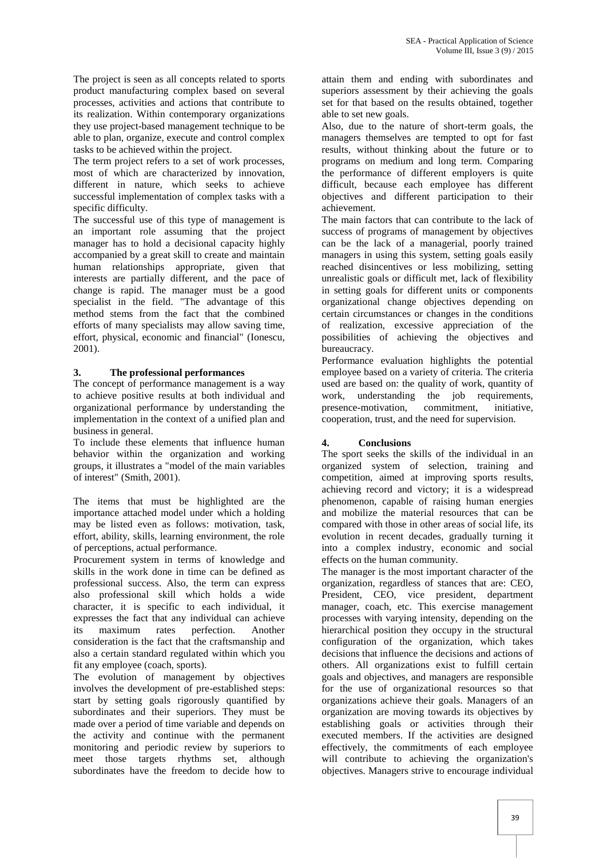The project is seen as all concepts related to sports product manufacturing complex based on several processes, activities and actions that contribute to its realization. Within contemporary organizations they use project-based management technique to be able to plan, organize, execute and control complex tasks to be achieved within the project.

The term project refers to a set of work processes, most of which are characterized by innovation, different in nature, which seeks to achieve successful implementation of complex tasks with a specific difficulty.

The successful use of this type of management is an important role assuming that the project manager has to hold a decisional capacity highly accompanied by a great skill to create and maintain human relationships appropriate, given that interests are partially different, and the pace of change is rapid. The manager must be a good specialist in the field. "The advantage of this method stems from the fact that the combined efforts of many specialists may allow saving time, effort, physical, economic and financial" (Ionescu, 2001).

# **3. The professional performances**

The concept of performance management is a way to achieve positive results at both individual and organizational performance by understanding the implementation in the context of a unified plan and business in general.

To include these elements that influence human behavior within the organization and working groups, it illustrates a "model of the main variables of interest" (Smith, 2001).

The items that must be highlighted are the importance attached model under which a holding may be listed even as follows: motivation, task, effort, ability, skills, learning environment, the role of perceptions, actual performance.

Procurement system in terms of knowledge and skills in the work done in time can be defined as professional success. Also, the term can express also professional skill which holds a wide character, it is specific to each individual, it expresses the fact that any individual can achieve its maximum rates perfection. Another consideration is the fact that the craftsmanship and also a certain standard regulated within which you fit any employee (coach, sports).

The evolution of management by objectives involves the development of pre-established steps: start by setting goals rigorously quantified by subordinates and their superiors. They must be made over a period of time variable and depends on the activity and continue with the permanent monitoring and periodic review by superiors to meet those targets rhythms set, although subordinates have the freedom to decide how to

attain them and ending with subordinates and superiors assessment by their achieving the goals set for that based on the results obtained, together able to set new goals.

Also, due to the nature of short-term goals, the managers themselves are tempted to opt for fast results, without thinking about the future or to programs on medium and long term. Comparing the performance of different employers is quite difficult, because each employee has different objectives and different participation to their achievement.

The main factors that can contribute to the lack of success of programs of management by objectives can be the lack of a managerial, poorly trained managers in using this system, setting goals easily reached disincentives or less mobilizing, setting unrealistic goals or difficult met, lack of flexibility in setting goals for different units or components organizational change objectives depending on certain circumstances or changes in the conditions of realization, excessive appreciation of the possibilities of achieving the objectives and bureaucracy.

Performance evaluation highlights the potential employee based on a variety of criteria. The criteria used are based on: the quality of work, quantity of work, understanding the job requirements, presence-motivation, commitment, initiative, cooperation, trust, and the need for supervision.

# **4. Conclusions**

The sport seeks the skills of the individual in an organized system of selection, training and competition, aimed at improving sports results, achieving record and victory; it is a widespread phenomenon, capable of raising human energies and mobilize the material resources that can be compared with those in other areas of social life, its evolution in recent decades, gradually turning it into a complex industry, economic and social effects on the human community.

The manager is the most important character of the organization, regardless of stances that are: CEO, President, CEO, vice president, department manager, coach, etc. This exercise management processes with varying intensity, depending on the hierarchical position they occupy in the structural configuration of the organization, which takes decisions that influence the decisions and actions of others. All organizations exist to fulfill certain goals and objectives, and managers are responsible for the use of organizational resources so that organizations achieve their goals. Managers of an organization are moving towards its objectives by establishing goals or activities through their executed members. If the activities are designed effectively, the commitments of each employee will contribute to achieving the organization's objectives. Managers strive to encourage individual